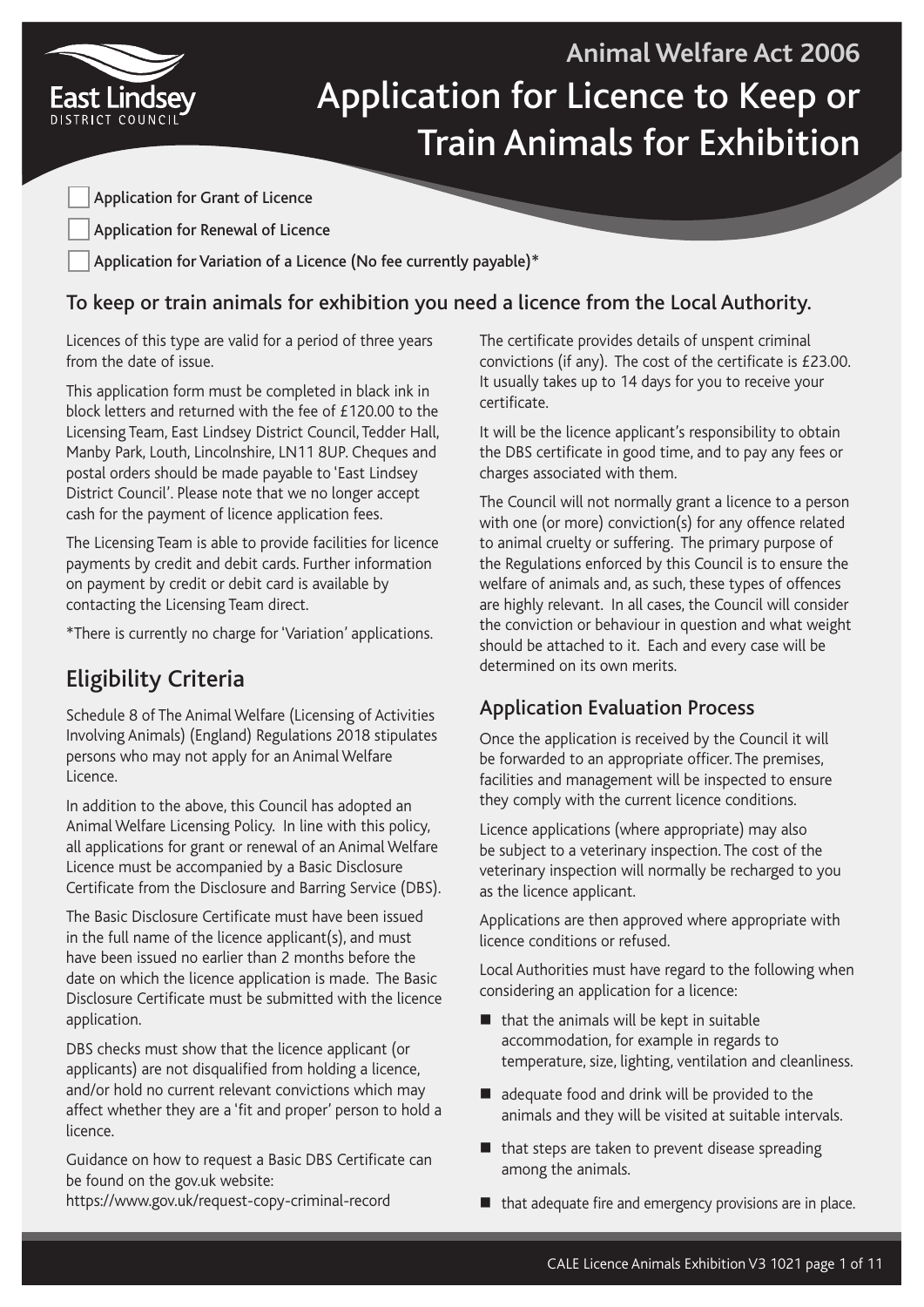

# **Animal Welfare Act 2006** Application for Licence to Keep or Train Animals for Exhibition

Application for Grant of Licence

Application for Renewal of Licence

Application for Variation of a Licence (No fee currently payable)\*

## To keep or train animals for exhibition you need a licence from the Local Authority.

Licences of this type are valid for a period of three years from the date of issue.

This application form must be completed in black ink in block letters and returned with the fee of £120.00 to the Licensing Team, East Lindsey District Council, Tedder Hall, Manby Park, Louth, Lincolnshire, LN11 8UP. Cheques and postal orders should be made payable to 'East Lindsey District Council'. Please note that we no longer accept cash for the payment of licence application fees.

The Licensing Team is able to provide facilities for licence payments by credit and debit cards. Further information on payment by credit or debit card is available by contacting the Licensing Team direct.

\*There is currently no charge for 'Variation' applications.

# Eligibility Criteria

Schedule 8 of The Animal Welfare (Licensing of Activities Involving Animals) (England) Regulations 2018 stipulates persons who may not apply for an Animal Welfare Licence.

In addition to the above, this Council has adopted an Animal Welfare Licensing Policy. In line with this policy, all applications for grant or renewal of an Animal Welfare Licence must be accompanied by a Basic Disclosure Certificate from the Disclosure and Barring Service (DBS).

The Basic Disclosure Certificate must have been issued in the full name of the licence applicant(s), and must have been issued no earlier than 2 months before the date on which the licence application is made. The Basic Disclosure Certificate must be submitted with the licence application.

DBS checks must show that the licence applicant (or applicants) are not disqualified from holding a licence, and/or hold no current relevant convictions which may affect whether they are a 'fit and proper' person to hold a licence.

Guidance on how to request a Basic DBS Certificate can be found on the gov.uk website:

https://www.gov.uk/request-copy-criminal-record

The certificate provides details of unspent criminal convictions (if any). The cost of the certificate is £23.00. It usually takes up to 14 days for you to receive your certificate.

It will be the licence applicant's responsibility to obtain the DBS certificate in good time, and to pay any fees or charges associated with them.

The Council will not normally grant a licence to a person with one (or more) conviction(s) for any offence related to animal cruelty or suffering. The primary purpose of the Regulations enforced by this Council is to ensure the welfare of animals and, as such, these types of offences are highly relevant. In all cases, the Council will consider the conviction or behaviour in question and what weight should be attached to it. Each and every case will be determined on its own merits.

# Application Evaluation Process

Once the application is received by the Council it will be forwarded to an appropriate officer. The premises, facilities and management will be inspected to ensure they comply with the current licence conditions.

Licence applications (where appropriate) may also be subject to a veterinary inspection. The cost of the veterinary inspection will normally be recharged to you as the licence applicant.

Applications are then approved where appropriate with licence conditions or refused.

Local Authorities must have regard to the following when considering an application for a licence:

- $\blacksquare$  that the animals will be kept in suitable accommodation, for example in regards to temperature, size, lighting, ventilation and cleanliness.
- dequate food and drink will be provided to the animals and they will be visited at suitable intervals.
- $\blacksquare$  that steps are taken to prevent disease spreading among the animals.
- that adequate fire and emergency provisions are in place.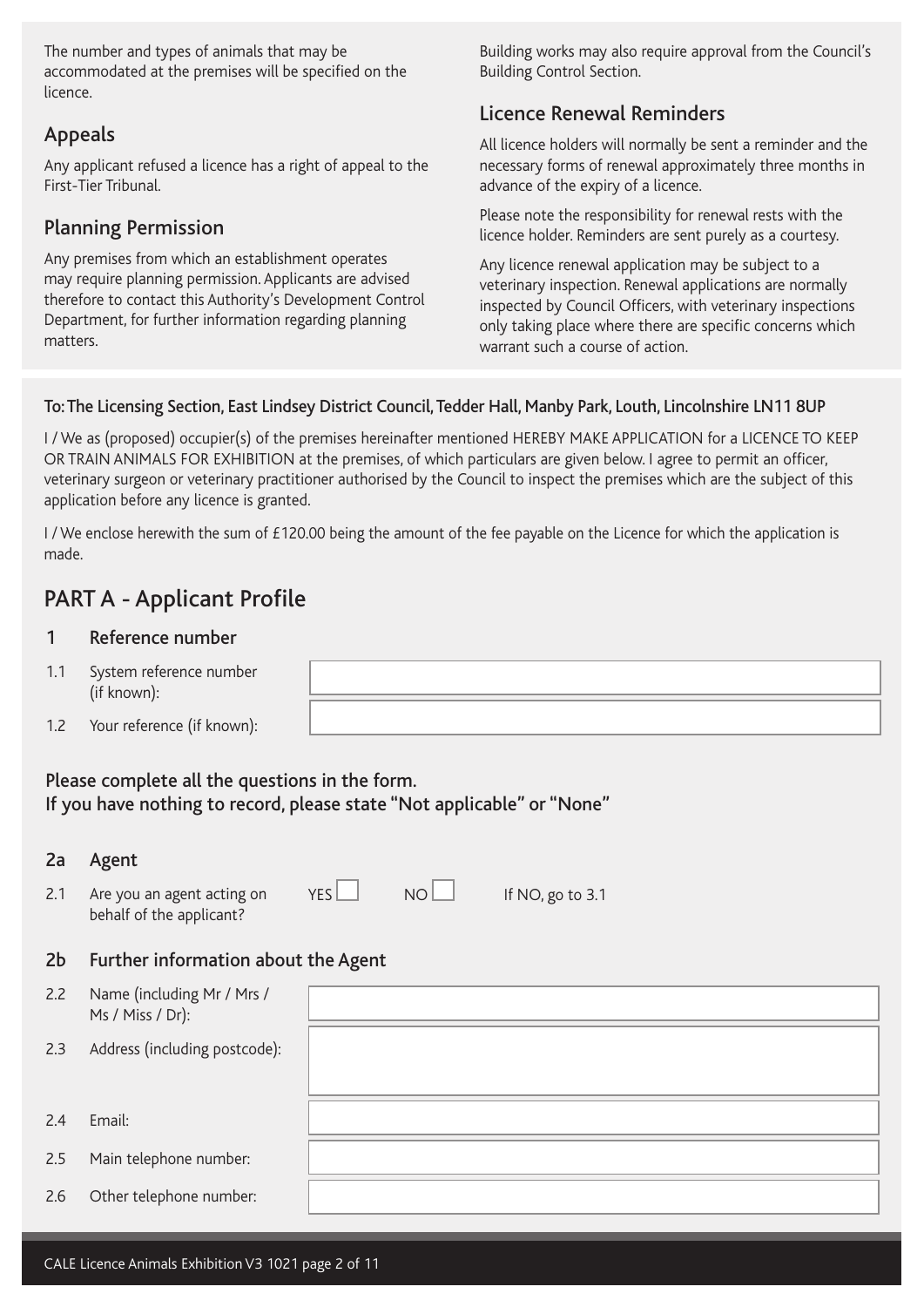The number and types of animals that may be accommodated at the premises will be specified on the licence.

## Appeals

Any applicant refused a licence has a right of appeal to the First-Tier Tribunal.

## Planning Permission

Any premises from which an establishment operates may require planning permission. Applicants are advised therefore to contact this Authority's Development Control Department, for further information regarding planning matters.

Building works may also require approval from the Council's Building Control Section.

## Licence Renewal Reminders

All licence holders will normally be sent a reminder and the necessary forms of renewal approximately three months in advance of the expiry of a licence.

Please note the responsibility for renewal rests with the licence holder. Reminders are sent purely as a courtesy.

Any licence renewal application may be subject to a veterinary inspection. Renewal applications are normally inspected by Council Officers, with veterinary inspections only taking place where there are specific concerns which warrant such a course of action.

### To: The Licensing Section, East Lindsey District Council, Tedder Hall, Manby Park, Louth, Lincolnshire LN11 8UP

I / We as (proposed) occupier(s) of the premises hereinafter mentioned HEREBY MAKE APPLICATION for a LICENCE TO KEEP OR TRAIN ANIMALS FOR EXHIBITION at the premises, of which particulars are given below. I agree to permit an officer, veterinary surgeon or veterinary practitioner authorised by the Council to inspect the premises which are the subject of this application before any licence is granted.

I / We enclose herewith the sum of £120.00 being the amount of the fee payable on the Licence for which the application is made.

# PART A - Applicant Profile

#### 1 Reference number

- 1.1 System reference number (if known):
- 1.2 Your reference (if known):

Please complete all the questions in the form. If you have nothing to record, please state "Not applicable" or "None"

| 2a  | Agent                                                  |     |    |                  |
|-----|--------------------------------------------------------|-----|----|------------------|
| 2.1 | Are you an agent acting on<br>behalf of the applicant? | YES | NO | If NO, go to 3.1 |
| 2b  | Further information about the Agent                    |     |    |                  |
| 2.2 | Name (including Mr / Mrs /<br>Ms / Miss / Dr):         |     |    |                  |
| 2.3 | Address (including postcode):                          |     |    |                  |
|     |                                                        |     |    |                  |
| 2.4 | Email:                                                 |     |    |                  |
| 2.5 | Main telephone number:                                 |     |    |                  |
| 2.6 | Other telephone number:                                |     |    |                  |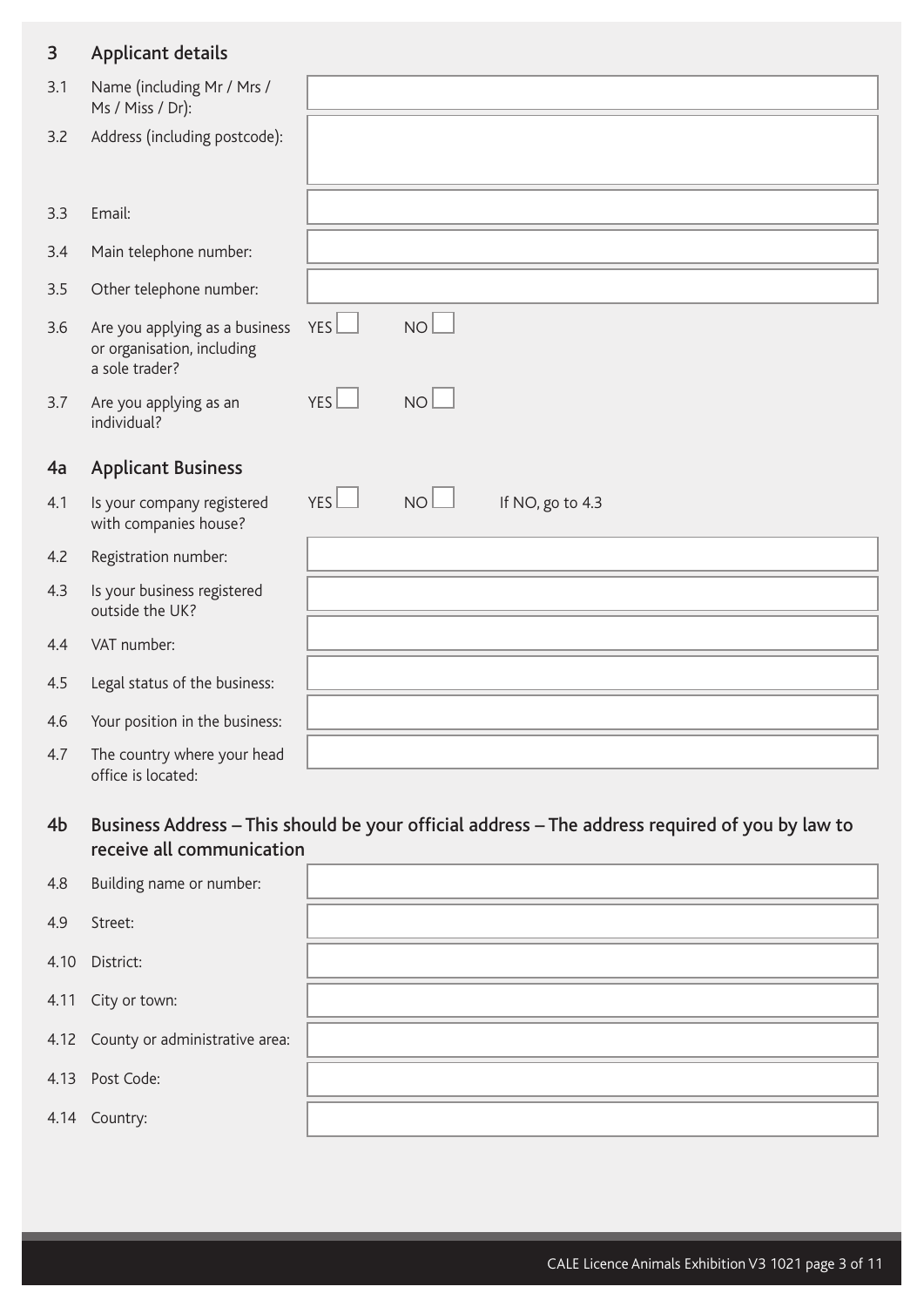## 3 Applicant details

| Name (including Mr / Mrs /<br>Ms / Miss / Dr):                                 |                  |           |                  |  |  |
|--------------------------------------------------------------------------------|------------------|-----------|------------------|--|--|
| Address (including postcode):                                                  |                  |           |                  |  |  |
| Email:                                                                         |                  |           |                  |  |  |
| Main telephone number:                                                         |                  |           |                  |  |  |
| Other telephone number:                                                        |                  |           |                  |  |  |
| Are you applying as a business<br>or organisation, including<br>a sole trader? | <b>YES</b>       | <b>NO</b> |                  |  |  |
|                                                                                |                  |           |                  |  |  |
| Are you applying as an<br>individual?                                          | YES <sup>1</sup> | <b>NO</b> |                  |  |  |
| <b>Applicant Business</b>                                                      |                  |           |                  |  |  |
| Is your company registered<br>with companies house?                            | YES              | <b>NO</b> | If NO, go to 4.3 |  |  |
| Registration number:                                                           |                  |           |                  |  |  |
| Is your business registered<br>outside the UK?                                 |                  |           |                  |  |  |
| VAT number:                                                                    |                  |           |                  |  |  |
| Legal status of the business:                                                  |                  |           |                  |  |  |
| Your position in the business:                                                 |                  |           |                  |  |  |
|                                                                                |                  |           |                  |  |  |

## 4b Business Address – This should be your official address – The address required of you by law to receive all communication

| 4.8  | Building name or number:            |  |
|------|-------------------------------------|--|
| 4.9  | Street:                             |  |
|      | 4.10 District:                      |  |
|      | 4.11 City or town:                  |  |
|      | 4.12 County or administrative area: |  |
| 4.13 | Post Code:                          |  |
|      | 4.14 Country:                       |  |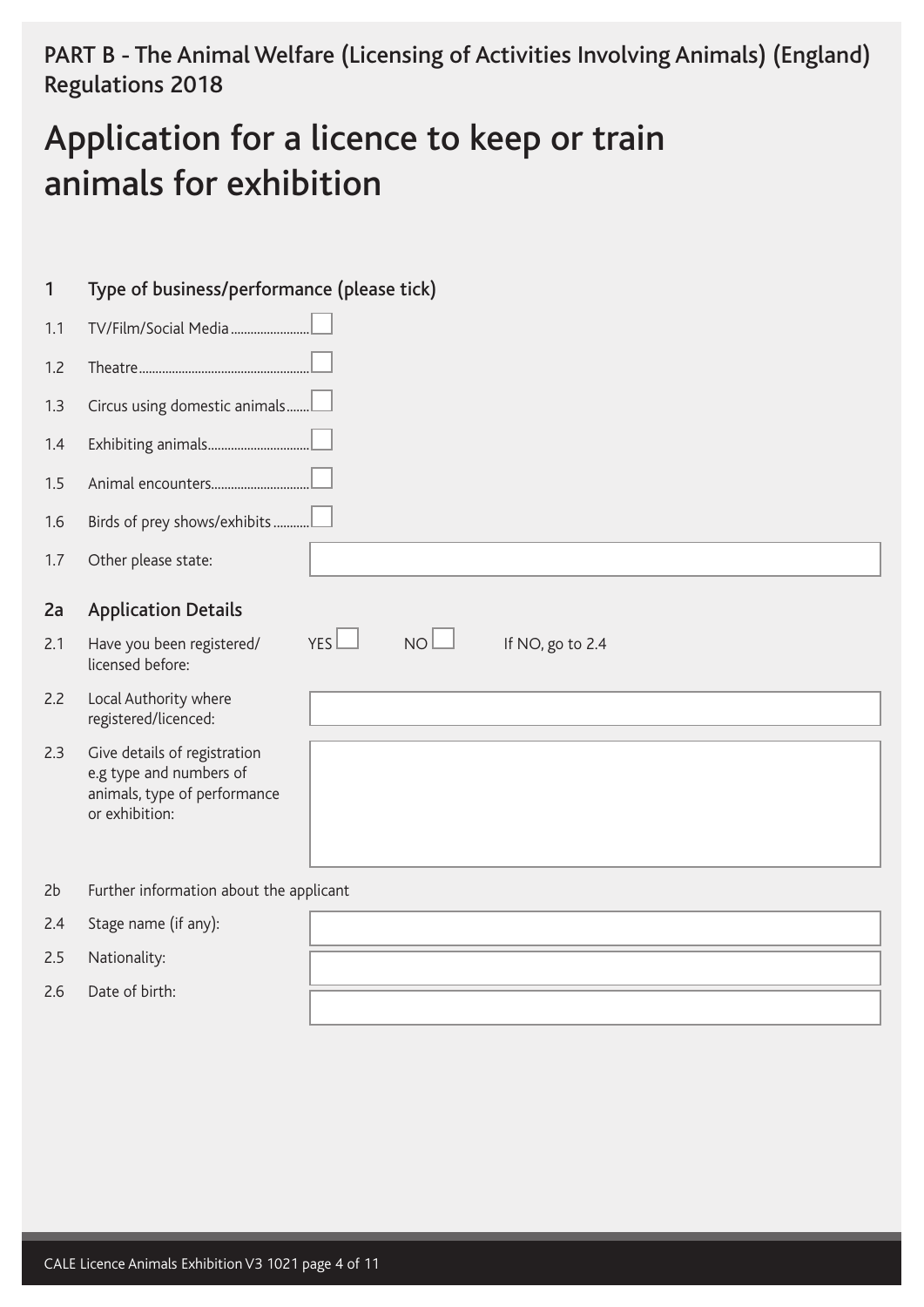PART B - The Animal Welfare (Licensing of Activities Involving Animals) (England) Regulations 2018

# Application for a licence to keep or train animals for exhibition

| $\mathbf{1}$ | Type of business/performance (please tick)                                                                |                                            |
|--------------|-----------------------------------------------------------------------------------------------------------|--------------------------------------------|
| 1.1          | TV/Film/Social Media                                                                                      |                                            |
| 1.2          |                                                                                                           |                                            |
| 1.3          | Circus using domestic animals                                                                             |                                            |
| 1.4          |                                                                                                           |                                            |
| 1.5          |                                                                                                           |                                            |
| 1.6          | Birds of prey shows/exhibits                                                                              |                                            |
| 1.7          | Other please state:                                                                                       |                                            |
| 2a           | <b>Application Details</b>                                                                                |                                            |
| 2.1          | Have you been registered/<br>licensed before:                                                             | YES<br>NO <sub>1</sub><br>If NO, go to 2.4 |
| 2.2          | Local Authority where<br>registered/licenced:                                                             |                                            |
| 2.3          | Give details of registration<br>e.g type and numbers of<br>animals, type of performance<br>or exhibition: |                                            |
| 2b           | Further information about the applicant                                                                   |                                            |
| 2.4          | Stage name (if any):                                                                                      |                                            |
| 2.5          | Nationality:                                                                                              |                                            |
| 2.6          | Date of birth:                                                                                            |                                            |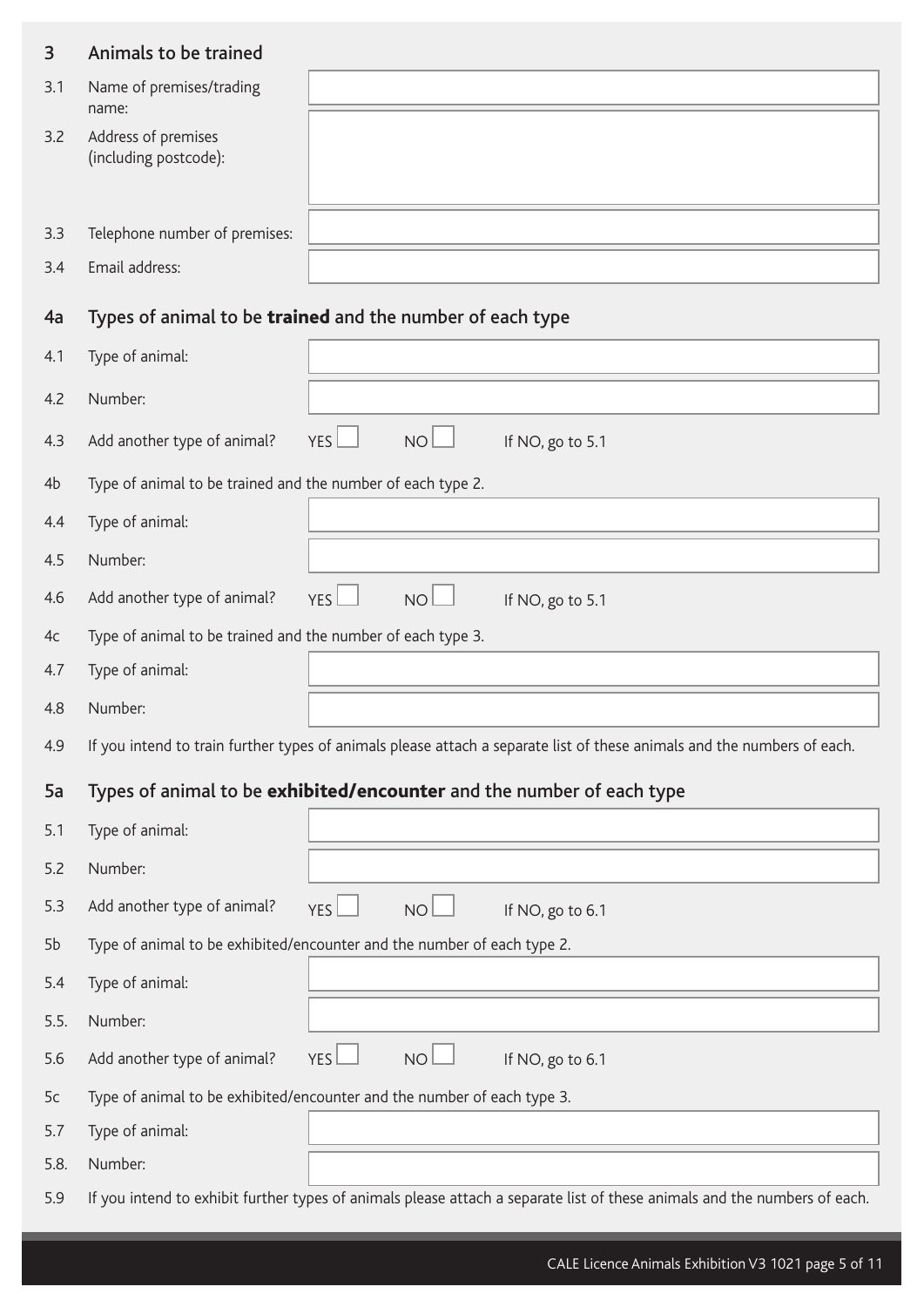| 3          | Animals to be trained                                       |                                                                                                                           |
|------------|-------------------------------------------------------------|---------------------------------------------------------------------------------------------------------------------------|
| 3.1        | Name of premises/trading<br>name:                           |                                                                                                                           |
| 3.2        | Address of premises<br>(including postcode):                |                                                                                                                           |
|            |                                                             |                                                                                                                           |
| 3.3<br>3.4 | Telephone number of premises:<br>Email address:             |                                                                                                                           |
|            |                                                             |                                                                                                                           |
| 4a         |                                                             | Types of animal to be trained and the number of each type                                                                 |
| 4.1        | Type of animal:                                             |                                                                                                                           |
| 4.2        | Number:                                                     |                                                                                                                           |
| 4.3        | Add another type of animal?                                 | NO <sub>1</sub><br><b>YES</b><br>If NO, go to 5.1                                                                         |
| 4b         | Type of animal to be trained and the number of each type 2. |                                                                                                                           |
| 4.4        | Type of animal:                                             |                                                                                                                           |
| 4.5        | Number:                                                     |                                                                                                                           |
| 4.6        | Add another type of animal?                                 | <b>NO</b><br>YES<br>If NO, go to 5.1                                                                                      |
| 4c         | Type of animal to be trained and the number of each type 3. |                                                                                                                           |
| 4.7        | Type of animal:                                             |                                                                                                                           |
| 4.8        | Number:                                                     |                                                                                                                           |
| 4.9        |                                                             | If you intend to train further types of animals please attach a separate list of these animals and the numbers of each.   |
| 5a         |                                                             | Types of animal to be exhibited/encounter and the number of each type                                                     |
| 5.1        | Type of animal:                                             |                                                                                                                           |
| 5.2        | Number:                                                     |                                                                                                                           |
| 5.3        | Add another type of animal?                                 | NO <sub>l</sub><br>YES <sup>1</sup><br>If NO, go to 6.1                                                                   |
| 5b         |                                                             | Type of animal to be exhibited/encounter and the number of each type 2.                                                   |
| 5.4        | Type of animal:                                             |                                                                                                                           |
| 5.5.       | Number:                                                     |                                                                                                                           |
| 5.6        | Add another type of animal?                                 | NO <sub>l</sub><br>YES<br>If NO, go to 6.1                                                                                |
| 5c         |                                                             | Type of animal to be exhibited/encounter and the number of each type 3.                                                   |
| 5.7        | Type of animal:                                             |                                                                                                                           |
| 5.8.       | Number:                                                     |                                                                                                                           |
| 5.9        |                                                             | If you intend to exhibit further types of animals please attach a separate list of these animals and the numbers of each. |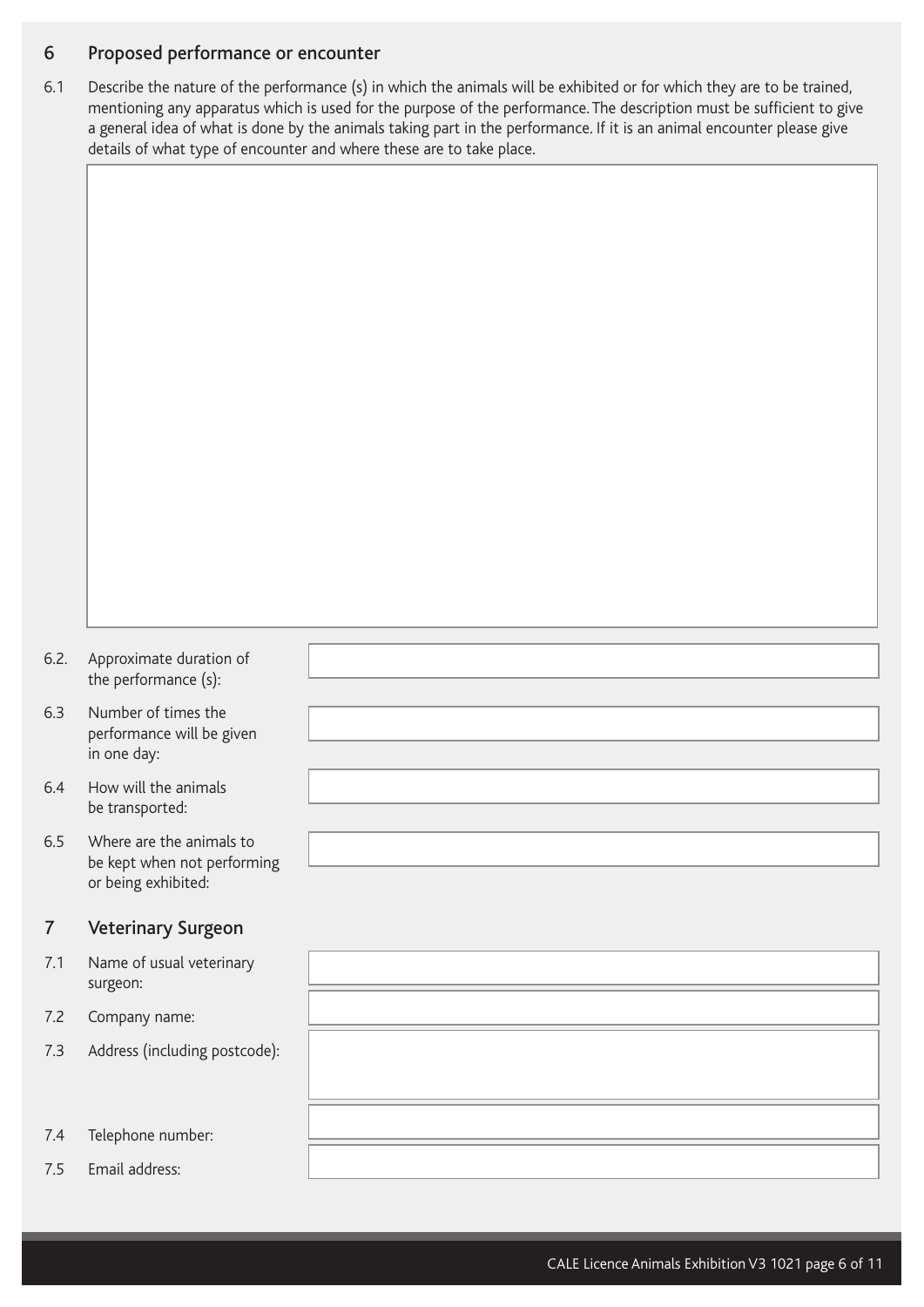#### 6 Proposed performance or encounter

6.1 Describe the nature of the performance (s) in which the animals will be exhibited or for which they are to be trained, mentioning any apparatus which is used for the purpose of the performance. The description must be sufficient to give a general idea of what is done by the animals taking part in the performance. If it is an animal encounter please give details of what type of encounter and where these are to take place.

- 6.2. Approximate duration of the performance (s):
- 6.3 Number of times the performance will be given in one day:
- 6.4 How will the animals be transported:
- 6.5 Where are the animals to be kept when not performing or being exhibited:

#### 7 Veterinary Surgeon

- 7.1 Name of usual veter surgeon:
- 7.2 Company name:
- 7.3 Address (including p
- 7.4 Telephone number:
- 7.5 Email address:

| ווט       |  |
|-----------|--|
| inary     |  |
|           |  |
| ostcode): |  |
|           |  |
|           |  |
|           |  |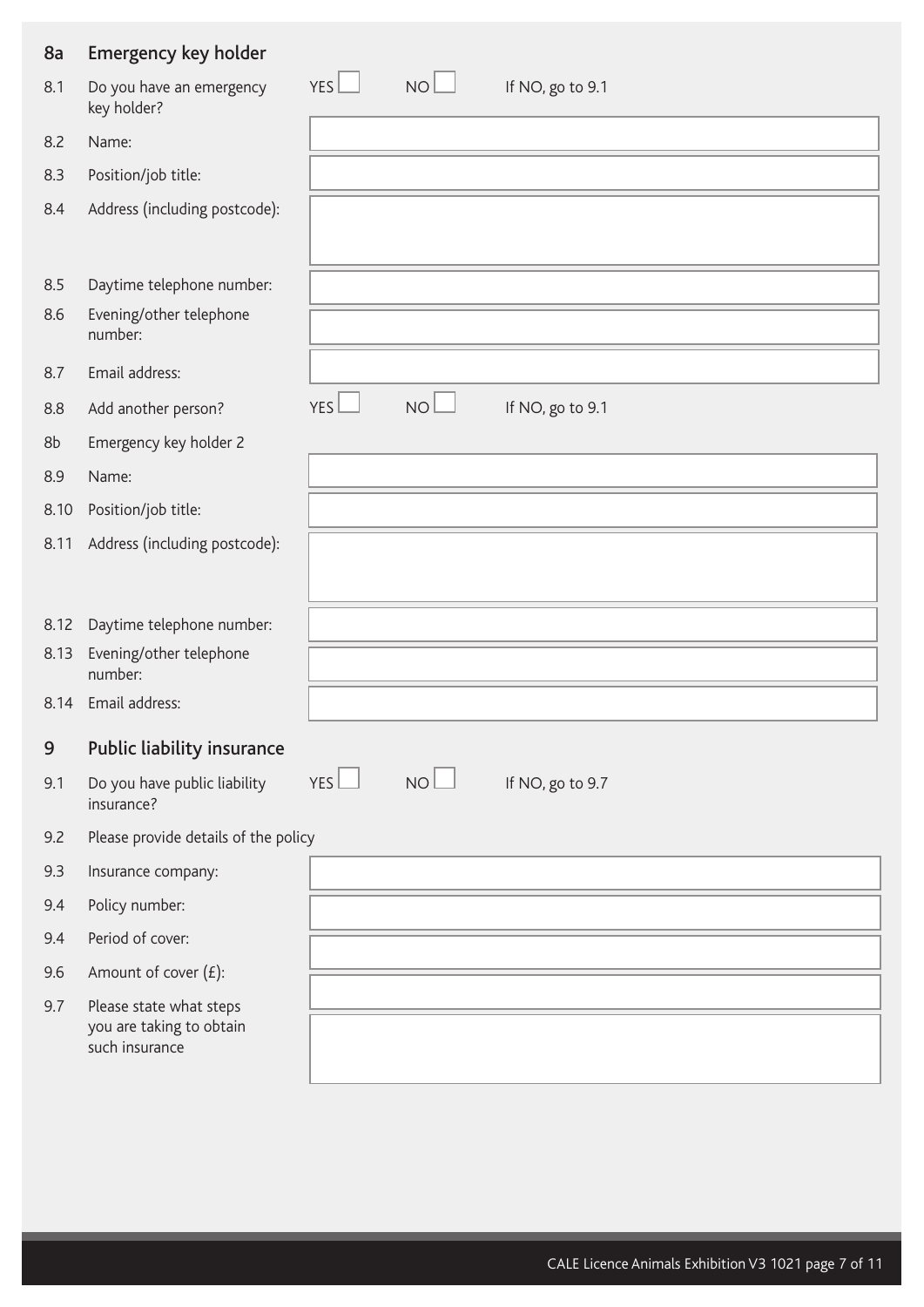| 8a   | Emergency key holder                                                  |            |           |                  |
|------|-----------------------------------------------------------------------|------------|-----------|------------------|
| 8.1  | Do you have an emergency<br>key holder?                               | <b>YES</b> | <b>NO</b> | If NO, go to 9.1 |
| 8.2  | Name:                                                                 |            |           |                  |
| 8.3  | Position/job title:                                                   |            |           |                  |
| 8.4  | Address (including postcode):                                         |            |           |                  |
| 8.5  | Daytime telephone number:                                             |            |           |                  |
| 8.6  | Evening/other telephone<br>number:                                    |            |           |                  |
| 8.7  | Email address:                                                        |            |           |                  |
| 8.8  | Add another person?                                                   | YES        | <b>NO</b> | If NO, go to 9.1 |
| 8b   | Emergency key holder 2                                                |            |           |                  |
| 8.9  | Name:                                                                 |            |           |                  |
| 8.10 | Position/job title:                                                   |            |           |                  |
| 8.11 | Address (including postcode):                                         |            |           |                  |
| 8.12 | Daytime telephone number:                                             |            |           |                  |
| 8.13 | Evening/other telephone<br>number:                                    |            |           |                  |
| 8.14 | Email address:                                                        |            |           |                  |
| 9    | Public liability insurance                                            |            |           |                  |
| 9.1  | Do you have public liability<br>insurance?                            | YES        | NO        | If NO, go to 9.7 |
| 9.2  | Please provide details of the policy                                  |            |           |                  |
| 9.3  | Insurance company:                                                    |            |           |                  |
| 9.4  | Policy number:                                                        |            |           |                  |
| 9.4  | Period of cover:                                                      |            |           |                  |
| 9.6  | Amount of cover $(E)$ :                                               |            |           |                  |
| 9.7  | Please state what steps<br>you are taking to obtain<br>such insurance |            |           |                  |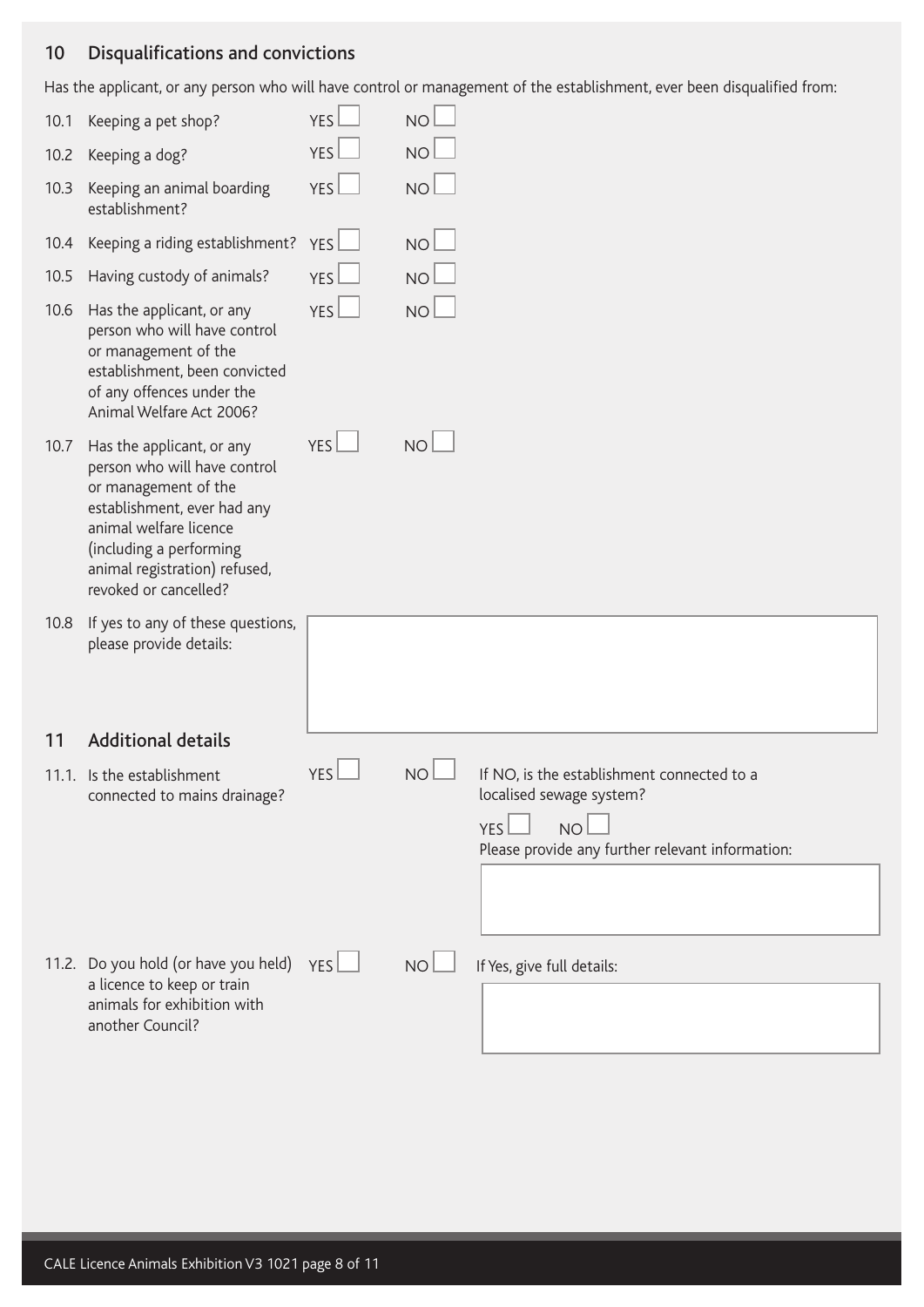## 10 Disqualifications and convictions

Has the applicant, or any person who will have control or management of the establishment, ever been disqualified from:

| 10.1 | Keeping a pet shop?                                                                                                                                                                                                             | <b>YES</b>       | <b>NO</b>       |                                                                                                                                                |
|------|---------------------------------------------------------------------------------------------------------------------------------------------------------------------------------------------------------------------------------|------------------|-----------------|------------------------------------------------------------------------------------------------------------------------------------------------|
| 10.2 | Keeping a dog?                                                                                                                                                                                                                  | <b>YES</b>       | <b>NO</b>       |                                                                                                                                                |
| 10.3 | Keeping an animal boarding<br>establishment?                                                                                                                                                                                    | YES              | <b>NO</b>       |                                                                                                                                                |
| 10.4 | Keeping a riding establishment?                                                                                                                                                                                                 | YES              | NO <sub>1</sub> |                                                                                                                                                |
| 10.5 | Having custody of animals?                                                                                                                                                                                                      | YES              | <b>NO</b>       |                                                                                                                                                |
| 10.6 | Has the applicant, or any<br>person who will have control<br>or management of the<br>establishment, been convicted<br>of any offences under the<br>Animal Welfare Act 2006?                                                     | YES              | <b>NO</b>       |                                                                                                                                                |
| 10.7 | Has the applicant, or any<br>person who will have control<br>or management of the<br>establishment, ever had any<br>animal welfare licence<br>(including a performing<br>animal registration) refused,<br>revoked or cancelled? | YES <sup>L</sup> | NO <sub>1</sub> |                                                                                                                                                |
| 10.8 | If yes to any of these questions,<br>please provide details:                                                                                                                                                                    |                  |                 |                                                                                                                                                |
| 11   | <b>Additional details</b>                                                                                                                                                                                                       |                  |                 |                                                                                                                                                |
|      | 11.1. Is the establishment<br>connected to mains drainage?                                                                                                                                                                      | <b>YES</b>       | <b>NO</b>       | If NO, is the establishment connected to a<br>localised sewage system?<br><b>NO</b><br>YES<br>Please provide any further relevant information: |
|      | 11.2. Do you hold (or have you held) $YES$<br>a licence to keep or train<br>animals for exhibition with<br>another Council?                                                                                                     |                  | NO <sub>1</sub> | If Yes, give full details:                                                                                                                     |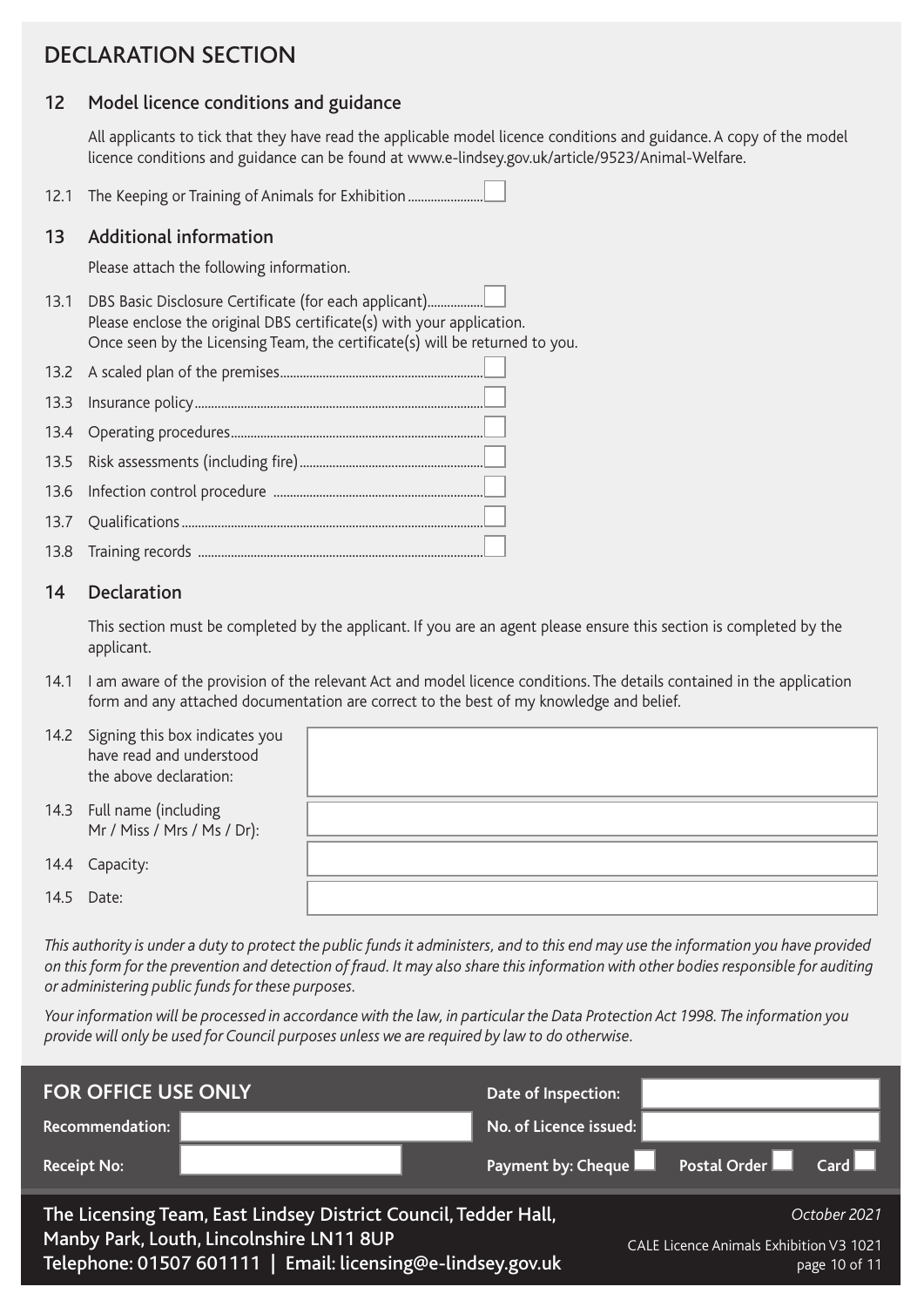# DECLARATION SECTION

#### 12 Model licence conditions and guidance

All applicants to tick that they have read the applicable model licence conditions and guidance. A copy of the model licence conditions and guidance can be found at www.e-lindsey.gov.uk/article/9523/Animal-Welfare.

12.1 The Keeping or Training of Animals for Exhibition..........................

#### 13 Additional information

Please attach the following information.

13.1 DBS Basic Disclosure Certificate (for each applicant)................ Please enclose the original DBS certificate(s) with your application. Once seen by the Licensing Team, the certificate(s) will be returned to you.

13.8 Training records .......................................................................................

#### 14 Declaration

This section must be completed by the applicant. If you are an agent please ensure this section is completed by the applicant.

14.1 I am aware of the provision of the relevant Act and model licence conditions. The details contained in the application form and any attached documentation are correct to the best of my knowledge and belief.

| have read and understood<br>the above declaration: |                                                                                             |
|----------------------------------------------------|---------------------------------------------------------------------------------------------|
| Mr / Miss / Mrs / Ms / Dr):                        |                                                                                             |
|                                                    |                                                                                             |
|                                                    |                                                                                             |
|                                                    |                                                                                             |
|                                                    | 14.2 Signing this box indicates you<br>14.3 Full name (including<br>Capacity:<br>14.5 Date: |

*This authority is under a duty to protect the public funds it administers, and to this end may use the information you have provided on this form for the prevention and detection of fraud. It may also share this information with other bodies responsible for auditing or administering public funds for these purposes.* 

*Your information will be processed in accordance with the law, in particular the Data Protection Act 1998. The information you provide will only be used for Council purposes unless we are required by law to do otherwise.*

| <b>FOR OFFICE USE ONLY</b> |                                                                                                                                                                            | Date of Inspection:    |                                                                          |
|----------------------------|----------------------------------------------------------------------------------------------------------------------------------------------------------------------------|------------------------|--------------------------------------------------------------------------|
| <b>Recommendation:</b>     |                                                                                                                                                                            | No. of Licence issued: |                                                                          |
| <b>Receipt No:</b>         |                                                                                                                                                                            | Payment by: Cheque     | Postal Order<br>$Card \Box$                                              |
|                            | The Licensing Team, East Lindsey District Council, Tedder Hall,<br>Manby Park, Louth, Lincolnshire LN11 8UP<br>Telephone: 01507 601111   Email: licensing@e-lindsey.gov.uk |                        | October 2021<br>CALE Licence Animals Exhibition V3 1021<br>page 10 of 11 |